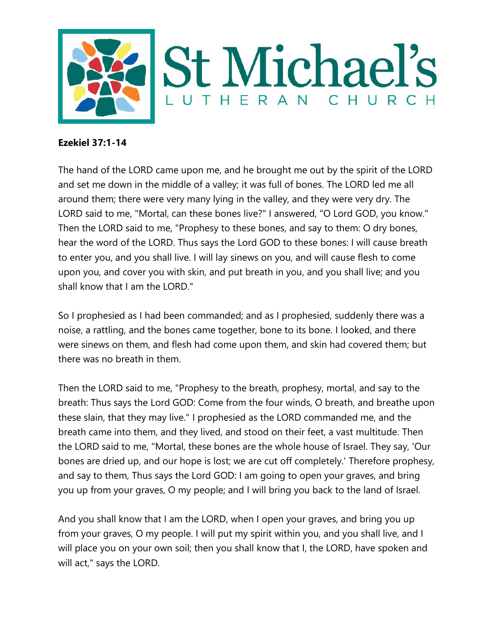

## **Ezekiel 37:1-14**

The hand of the LORD came upon me, and he brought me out by the spirit of the LORD and set me down in the middle of a valley; it was full of bones. The LORD led me all around them; there were very many lying in the valley, and they were very dry. The LORD said to me, "Mortal, can these bones live?" I answered, "O Lord GOD, you know." Then the LORD said to me, "Prophesy to these bones, and say to them: O dry bones, hear the word of the LORD. Thus says the Lord GOD to these bones: I will cause breath to enter you, and you shall live. I will lay sinews on you, and will cause flesh to come upon you, and cover you with skin, and put breath in you, and you shall live; and you shall know that I am the LORD."

So I prophesied as I had been commanded; and as I prophesied, suddenly there was a noise, a rattling, and the bones came together, bone to its bone. I looked, and there were sinews on them, and flesh had come upon them, and skin had covered them; but there was no breath in them.

Then the LORD said to me, "Prophesy to the breath, prophesy, mortal, and say to the breath: Thus says the Lord GOD: Come from the four winds, O breath, and breathe upon these slain, that they may live." I prophesied as the LORD commanded me, and the breath came into them, and they lived, and stood on their feet, a vast multitude. Then the LORD said to me, "Mortal, these bones are the whole house of Israel. They say, 'Our bones are dried up, and our hope is lost; we are cut off completely.' Therefore prophesy, and say to them, Thus says the Lord GOD: I am going to open your graves, and bring you up from your graves, O my people; and I will bring you back to the land of Israel.

And you shall know that I am the LORD, when I open your graves, and bring you up from your graves, O my people. I will put my spirit within you, and you shall live, and I will place you on your own soil; then you shall know that I, the LORD, have spoken and will act," says the LORD.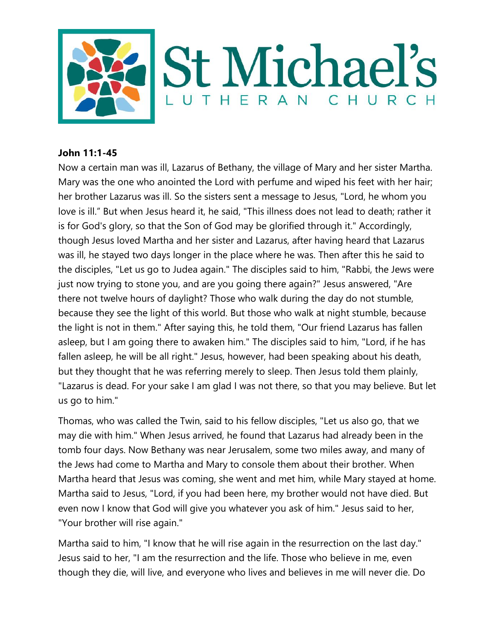

## **John 11:1-45**

Now a certain man was ill, Lazarus of Bethany, the village of Mary and her sister Martha. Mary was the one who anointed the Lord with perfume and wiped his feet with her hair; her brother Lazarus was ill. So the sisters sent a message to Jesus, "Lord, he whom you love is ill." But when Jesus heard it, he said, "This illness does not lead to death; rather it is for God's glory, so that the Son of God may be glorified through it." Accordingly, though Jesus loved Martha and her sister and Lazarus, after having heard that Lazarus was ill, he stayed two days longer in the place where he was. Then after this he said to the disciples, "Let us go to Judea again." The disciples said to him, "Rabbi, the Jews were just now trying to stone you, and are you going there again?" Jesus answered, "Are there not twelve hours of daylight? Those who walk during the day do not stumble, because they see the light of this world. But those who walk at night stumble, because the light is not in them." After saying this, he told them, "Our friend Lazarus has fallen asleep, but I am going there to awaken him." The disciples said to him, "Lord, if he has fallen asleep, he will be all right." Jesus, however, had been speaking about his death, but they thought that he was referring merely to sleep. Then Jesus told them plainly, "Lazarus is dead. For your sake I am glad I was not there, so that you may believe. But let us go to him."

Thomas, who was called the Twin, said to his fellow disciples, "Let us also go, that we may die with him." When Jesus arrived, he found that Lazarus had already been in the tomb four days. Now Bethany was near Jerusalem, some two miles away, and many of the Jews had come to Martha and Mary to console them about their brother. When Martha heard that Jesus was coming, she went and met him, while Mary stayed at home. Martha said to Jesus, "Lord, if you had been here, my brother would not have died. But even now I know that God will give you whatever you ask of him." Jesus said to her, "Your brother will rise again."

Martha said to him, "I know that he will rise again in the resurrection on the last day." Jesus said to her, "I am the resurrection and the life. Those who believe in me, even though they die, will live, and everyone who lives and believes in me will never die. Do